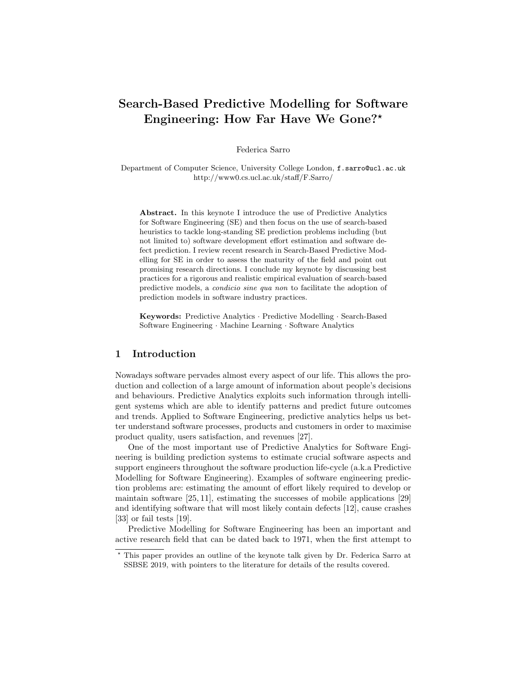## Search-Based Predictive Modelling for Software Engineering: How Far Have We Gone?\*

Federica Sarro

Department of Computer Science, University College London, f.sarro@ucl.ac.uk http://www0.cs.ucl.ac.uk/staff/F.Sarro/

Abstract. In this keynote I introduce the use of Predictive Analytics for Software Engineering (SE) and then focus on the use of search-based heuristics to tackle long-standing SE prediction problems including (but not limited to) software development effort estimation and software defect prediction. I review recent research in Search-Based Predictive Modelling for SE in order to assess the maturity of the field and point out promising research directions. I conclude my keynote by discussing best practices for a rigorous and realistic empirical evaluation of search-based predictive models, a condicio sine qua non to facilitate the adoption of prediction models in software industry practices.

Keywords: Predictive Analytics · Predictive Modelling · Search-Based Software Engineering · Machine Learning · Software Analytics

## 1 Introduction

Nowadays software pervades almost every aspect of our life. This allows the production and collection of a large amount of information about people's decisions and behaviours. Predictive Analytics exploits such information through intelligent systems which are able to identify patterns and predict future outcomes and trends. Applied to Software Engineering, predictive analytics helps us better understand software processes, products and customers in order to maximise product quality, users satisfaction, and revenues [27].

One of the most important use of Predictive Analytics for Software Engineering is building prediction systems to estimate crucial software aspects and support engineers throughout the software production life-cycle (a.k.a Predictive Modelling for Software Engineering). Examples of software engineering prediction problems are: estimating the amount of effort likely required to develop or maintain software [25, 11], estimating the successes of mobile applications [29] and identifying software that will most likely contain defects [12], cause crashes [33] or fail tests [19].

Predictive Modelling for Software Engineering has been an important and active research field that can be dated back to 1971, when the first attempt to

<sup>?</sup> This paper provides an outline of the keynote talk given by Dr. Federica Sarro at SSBSE 2019, with pointers to the literature for details of the results covered.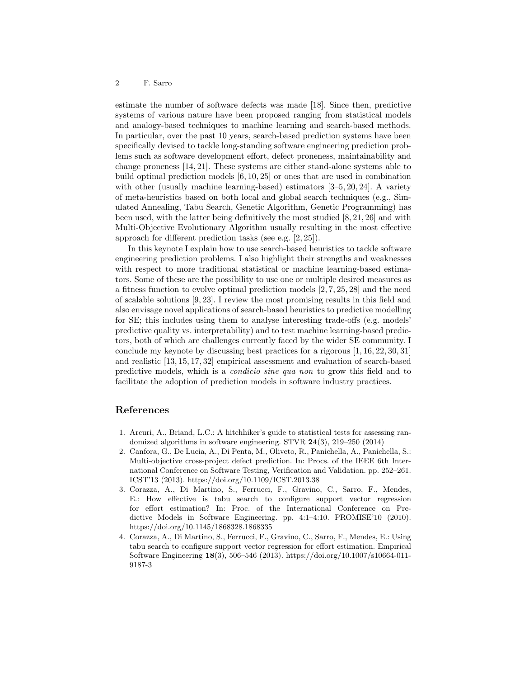## 2 F. Sarro

estimate the number of software defects was made [18]. Since then, predictive systems of various nature have been proposed ranging from statistical models and analogy-based techniques to machine learning and search-based methods. In particular, over the past 10 years, search-based prediction systems have been specifically devised to tackle long-standing software engineering prediction problems such as software development effort, defect proneness, maintainability and change proneness [14, 21]. These systems are either stand-alone systems able to build optimal prediction models [6, 10, 25] or ones that are used in combination with other (usually machine learning-based) estimators  $[3-5, 20, 24]$ . A variety of meta-heuristics based on both local and global search techniques (e.g., Simulated Annealing, Tabu Search, Genetic Algorithm, Genetic Programming) has been used, with the latter being definitively the most studied [8, 21, 26] and with Multi-Objective Evolutionary Algorithm usually resulting in the most effective approach for different prediction tasks (see e.g. [2, 25]).

In this keynote I explain how to use search-based heuristics to tackle software engineering prediction problems. I also highlight their strengths and weaknesses with respect to more traditional statistical or machine learning-based estimators. Some of these are the possibility to use one or multiple desired measures as a fitness function to evolve optimal prediction models [2, 7, 25, 28] and the need of scalable solutions [9, 23]. I review the most promising results in this field and also envisage novel applications of search-based heuristics to predictive modelling for SE; this includes using them to analyse interesting trade-offs (e.g. models' predictive quality vs. interpretability) and to test machine learning-based predictors, both of which are challenges currently faced by the wider SE community. I conclude my keynote by discussing best practices for a rigorous  $[1, 16, 22, 30, 31]$ and realistic [13, 15, 17, 32] empirical assessment and evaluation of search-based predictive models, which is a condicio sine qua non to grow this field and to facilitate the adoption of prediction models in software industry practices.

## References

- 1. Arcuri, A., Briand, L.C.: A hitchhiker's guide to statistical tests for assessing randomized algorithms in software engineering. STVR 24(3), 219–250 (2014)
- 2. Canfora, G., De Lucia, A., Di Penta, M., Oliveto, R., Panichella, A., Panichella, S.: Multi-objective cross-project defect prediction. In: Procs. of the IEEE 6th International Conference on Software Testing, Verification and Validation. pp. 252–261. ICST'13 (2013). https://doi.org/10.1109/ICST.2013.38
- 3. Corazza, A., Di Martino, S., Ferrucci, F., Gravino, C., Sarro, F., Mendes, E.: How effective is tabu search to configure support vector regression for effort estimation? In: Proc. of the International Conference on Predictive Models in Software Engineering. pp. 4:1–4:10. PROMISE'10 (2010). https://doi.org/10.1145/1868328.1868335
- 4. Corazza, A., Di Martino, S., Ferrucci, F., Gravino, C., Sarro, F., Mendes, E.: Using tabu search to configure support vector regression for effort estimation. Empirical Software Engineering 18(3), 506–546 (2013). https://doi.org/10.1007/s10664-011- 9187-3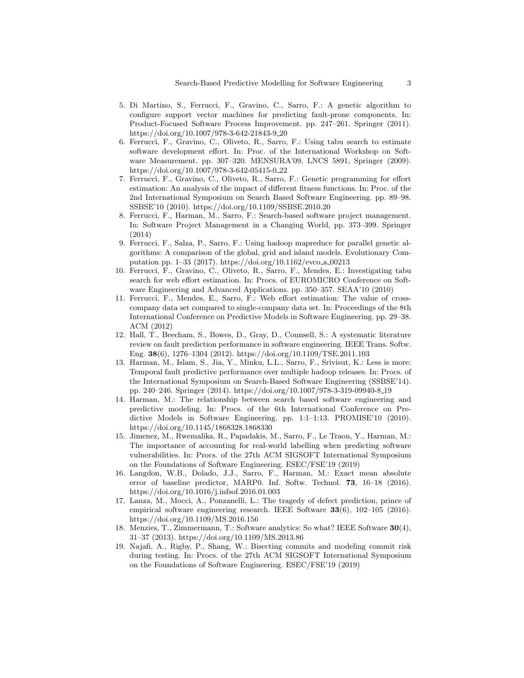- 5. Di Martino, S., Ferrucci, F., Gravino, C., Sarro, F.: A genetic algorithm to configure support vector machines for predicting fault-prone components. In: Product-Focused Software Process Improvement. pp. 247–261. Springer (2011). https://doi.org/10.1007/978-3-642-21843-9 20
- 6. Ferrucci, F., Gravino, C., Oliveto, R., Sarro, F.: Using tabu search to estimate software development effort. In: Proc. of the International Workshop on Software Measurement. pp. 307–320. MENSURA'09, LNCS 5891, Springer (2009). https://doi.org/10.1007/978-3-642-05415-0 22
- 7. Ferrucci, F., Gravino, C., Oliveto, R., Sarro, F.: Genetic programming for effort estimation: An analysis of the impact of different fitness functions. In: Proc. of the 2nd International Symposium on Search Based Software Engineering. pp. 89–98. SSBSE'10 (2010). https://doi.org/10.1109/SSBSE.2010.20
- 8. Ferrucci, F., Harman, M., Sarro, F.: Search-based software project management. In: Software Project Management in a Changing World, pp. 373–399. Springer (2014)
- 9. Ferrucci, F., Salza, P., Sarro, F.: Using hadoop mapreduce for parallel genetic algorithms: A comparison of the global, grid and island models. Evolutionary Computation pp. 1–33 (2017). https://doi.org/10.1162/evco a 00213
- 10. Ferrucci, F., Gravino, C., Oliveto, R., Sarro, F., Mendes, E.: Investigating tabu search for web effort estimation. In: Procs. of EUROMICRO Conference on Software Engineering and Advanced Applications. pp. 350–357. SEAA'10 (2010)
- 11. Ferrucci, F., Mendes, E., Sarro, F.: Web effort estimation: The value of crosscompany data set compared to single-company data set. In: Proceedings of the 8th International Conference on Predictive Models in Software Engineering. pp. 29–38. ACM (2012)
- 12. Hall, T., Beecham, S., Bowes, D., Gray, D., Counsell, S.: A systematic literature review on fault prediction performance in software engineering. IEEE Trans. Softw. Eng. 38(6), 1276–1304 (2012). https://doi.org/10.1109/TSE.2011.103
- 13. Harman, M., Islam, S., Jia, Y., Minku, L.L., Sarro, F., Srivisut, K.: Less is more: Temporal fault predictive performance over multiple hadoop releases. In: Procs. of the International Symposium on Search-Based Software Engineering (SSBSE'14). pp. 240–246. Springer (2014). https://doi.org/10.1007/978-3-319-09940-8 19
- 14. Harman, M.: The relationship between search based software engineering and predictive modeling. In: Procs. of the 6th International Conference on Predictive Models in Software Engineering. pp. 1:1–1:13. PROMISE'10 (2010). https://doi.org/10.1145/1868328.1868330
- 15. Jimenez, M., Rwemalika, R., Papadakis, M., Sarro, F., Le Traon, Y., Harman, M.: The importance of accounting for real-world labelling when predicting software vulnerabilities. In: Procs. of the 27th ACM SIGSOFT International Symposium on the Foundations of Software Engineering. ESEC/FSE'19 (2019)
- 16. Langdon, W.B., Dolado, J.J., Sarro, F., Harman, M.: Exact mean absolute error of baseline predictor, MARP0. Inf. Softw. Technol. 73, 16–18 (2016). https://doi.org/10.1016/j.infsof.2016.01.003
- 17. Lanza, M., Mocci, A., Ponzanelli, L.: The tragedy of defect prediction, prince of empirical software engineering research. IEEE Software 33(6), 102–105 (2016). https://doi.org/10.1109/MS.2016.156
- 18. Menzies, T., Zimmermann, T.: Software analytics: So what? IEEE Software 30(4), 31–37 (2013). https://doi.org/10.1109/MS.2013.86
- 19. Najafi, A., Rigby, P., Shang, W.: Bisecting commits and modeling commit risk during testing. In: Procs. of the 27th ACM SIGSOFT International Symposium on the Foundations of Software Engineering. ESEC/FSE'19 (2019)